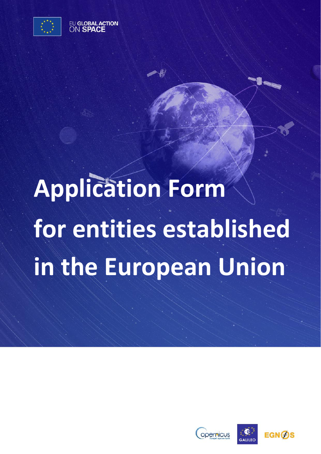

EU GLOBAL ACTION ON SPAC

# **Application Form for entities established in the European Union**

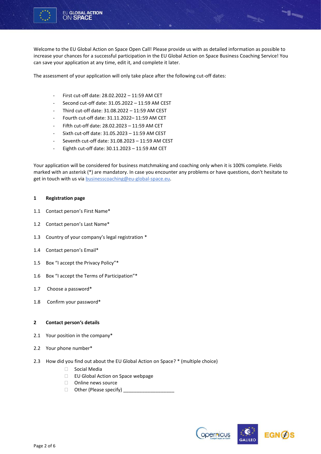

Welcome to the EU Global Action on Space Open Call! Please provide us with as detailed information as possible to increase your chances for a successful participation in the EU Global Action on Space Business Coaching Service! You can save your application at any time, edit it, and complete it later.

The assessment of your application will only take place after the following cut-off dates:

- First cut-off date: 28.02.2022 11:59 AM CET
- Second cut-off date: 31.05.2022 11:59 AM CEST
- Third cut-off date: 31.08.2022 11:59 AM CEST
- Fourth cut-off date: 31.11.2022– 11:59 AM CET
- Fifth cut-off date: 28.02.2023 11:59 AM CET
- Sixth cut-off date: 31.05.2023 11:59 AM CEST
- Seventh cut-off date: 31.08.2023 11:59 AM CEST
- Eighth cut-off date:  $30.11.2023 11:59$  AM CET

Your application will be considered for business matchmaking and coaching only when it is 100% complete. Fields marked with an asterisk (\*) are mandatory. In case you encounter any problems or have questions, don't hesitate to get in touch with us vi[a businesscoaching@eu-global-space.eu.](mailto:businesscoaching@eu-global-space.eu) 

## **1 Registration page**

- 1.1 Contact person's First Name\*
- 1.2 Contact person's Last Name\*
- 1.3 Country of your company's legal registration \*
- 1.4 Contact person's Email\*
- 1.5 Box "I accept the Privacy Policy"\*
- 1.6 Box "I accept the Terms of Participation"\*
- 1.7 Choose a password\*
- 1.8 Confirm your password\*

### **2 Contact person's details**

- 2.1 Your position in the company\*
- 2.2 Your phone number\*
- 2.3 How did you find out about the EU Global Action on Space? \* (multiple choice)
	- □ Social Media
	- □ EU Global Action on Space webpage
	- □ Online news source
	- $\Box$  Other (Please specify)  $\Box$



-<br>1-1-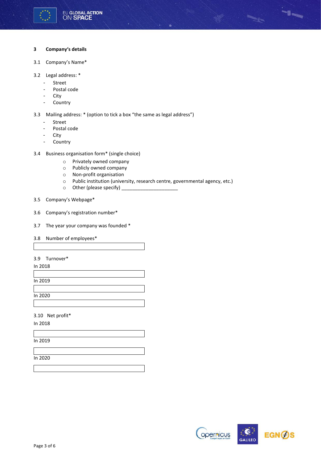

# **3 Company's details**

- 3.1 Company's Name\*
- 3.2 Legal address: \*
	- Street
	- Postal code
	- City
	- Country

3.3 Mailing address: \* (option to tick a box "the same as legal address")

- Street
- Postal code
- City
- Country
- 3.4 Business organisation form\* (single choice)
	- o Privately owned company
	- o Publicly owned company
	- o Non-profit organisation
	- o Public institution (university, research centre, governmental agency, etc.)
	- $\circ$  Other (please specify) \_
- 3.5 Company's Webpage\*
- 3.6 Company's registration number\*
- 3.7 The year your company was founded \*
- 3.8 Number of employees\*

# 3.9 Turnover\*

In 2018

In 2019

In 2020

3.10 Net profit\*

In 2018

In 2019

In 2020

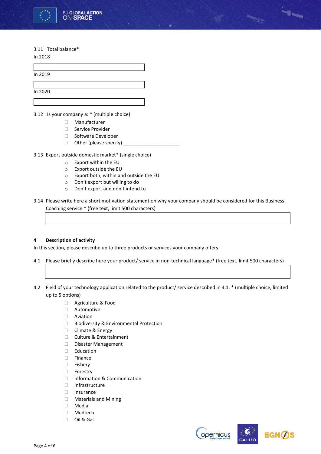

# 3.11 Total balance\*

In 2018

3.12 Is your company a: \* (multiple choice)

- Manufacturer
- □ Service Provider
- □ Software Developer
- $\Box$  Other (please specify) \_
- 3.13 Export outside domestic market\* (single choice)
	- o Export within the EU
	- o Export outside the EU
	- o Export both, within and outside the EU
	- o Don't export but willing to do
	- o Don't export and don't intend to
- 3.14 Please write here a short motivation statement on why your company should be considered for this Business Coaching service.\* (free text, limit 500 characters)

# **4 Description of activity**

In this section, please describe up to three products or services your company offers.

- 4.1 Please briefly describe here your product/ service in non-technical language\* (free text, limit 500 characters)
- 4.2 Field of your technology application related to the product/ service described in 4.1. \* (multiple choice, limited up to 5 options)
	- □ Agriculture & Food
	- Automotive
	- Aviation
	- □ Biodiversity & Environmental Protection
	- □ Climate & Energy
	- □ Culture & Entertainment
	- Disaster Management
	- Education
	- Finance
	- Fishery
	- □ Forestry
	- □ Information & Communication
	- Infrastructure
	- Insurance
	- Materials and Mining
	- Media
	- Medtech
	- Oil & Gas



-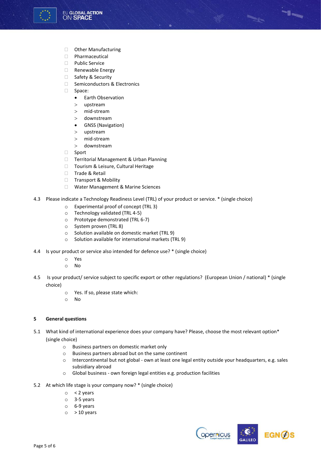

- **D** Other Manufacturing
- Pharmaceutical
- $\neg$  Public Service
- Renewable Energy
- □ Safety & Security
- □ Semiconductors & Electronics
- □ Space:
	- Earth Observation
	- upstream
	- mid-stream
	- downstream
	- GNSS (Navigation)
	- upstream
	- mid-stream
	- downstream
- □ Sport
- □ Territorial Management & Urban Planning
- □ Tourism & Leisure, Cultural Heritage
- □ Trade & Retail
- □ Transport & Mobility
- Water Management & Marine Sciences
- 4.3 Please indicate a Technology Readiness Level (TRL) of your product or service. \* (single choice)
	- o Experimental proof of concept (TRL 3)
	- o Technology validated (TRL 4-5)
	- o Prototype demonstrated (TRL 6-7)
	- o System proven (TRL 8)
	- o Solution available on domestic market (TRL 9)
	- o Solution available for international markets (TRL 9)
- 4.4 Is your product or service also intended for defence use? \* (single choice)
	- o Yes
	- o No
- 4.5 Is your product/ service subject to specific export or other regulations? (European Union / national) \* (single choice)
	- o Yes. If so, please state which:
	- o No

# **5 General questions**

- 5.1 What kind of international experience does your company have? Please, choose the most relevant option\* (single choice)
	- o Business partners on domestic market only
	- o Business partners abroad but on the same continent
	- o Intercontinental but not global own at least one legal entity outside your headquarters, e.g. sales subsidiary abroad
	- o Global business own foreign legal entities e.g. production facilities
- 5.2 At which life stage is your company now? \* (single choice)
	- $\circ$  < 2 years
	- o 3-5 years
	- o 6-9 years
	- $\circ$  > 10 years



-1-